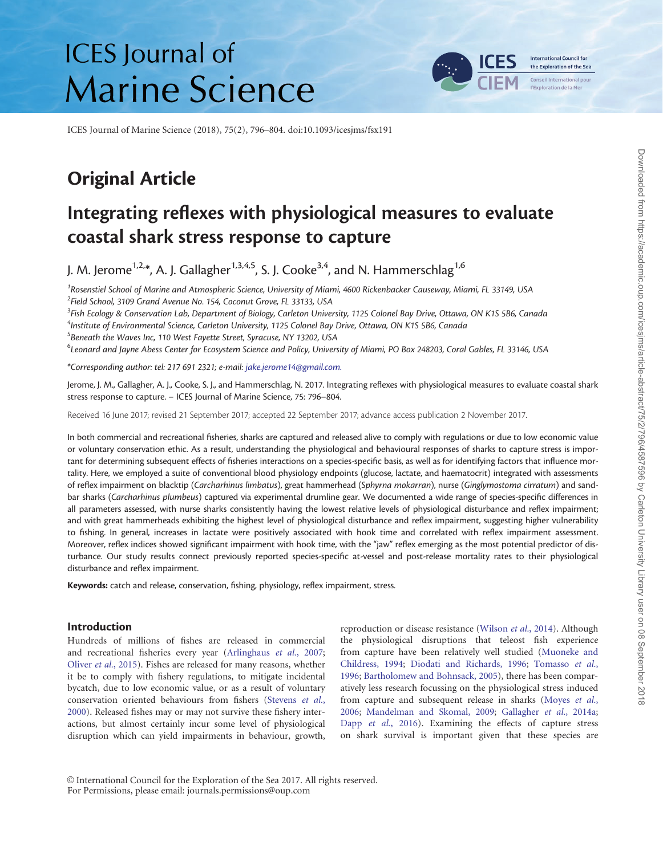# **ICES** Journal of **Marine Science**

**International Council for** the Exploration of the Sea ternational pou

ICES Journal of Marine Science (2018), 75(2), 796–804. doi:10.1093/icesjms/fsx191

# Original Article

# Integrating reflexes with physiological measures to evaluate coastal shark stress response to capture

J. M. Jerome<sup>1,2,\*</sup>, A. J. Gallagher<sup>1,3,4,5</sup>, S. J. Cooke<sup>3,4</sup>, and N. Hammerschlag<sup>1,6</sup>

<sup>1</sup>Rosenstiel School of Marine and Atmospheric Science, University of Miami, 4600 Rickenbacker Causeway, Miami, FL 33149, USA  $^2$ Field School, 3109 Grand Avenue No. 154, Coconut Grove, FL 33133, USA

<sup>3</sup>Fish Ecology & Conservation Lab, Department of Biology, Carleton University, 1125 Colonel Bay Drive, Ottawa, ON K1S 5B6, Canada <sup>4</sup>Institute of Environmental Science, Carleton University, 1125 Colonel Bay Drive, Ottawa, ON K1S 5B6, Canada  $^5$ Beneath the Waves Inc, 110 West Fayette Street, Syracuse, NY 13202, USA

<sup>6</sup>Leonard and Jayne Abess Center for Ecosystem Science and Policy, University of Miami, PO Box 248203, Coral Gables, FL 33146, USA

\*Corresponding author: tel: 217 691 2321; e-mail: [jake.jerome14@gmail.com.](mailto:jake.jerome14@gmail.com.)

Jerome, J. M., Gallagher, A. J., Cooke, S. J., and Hammerschlag, N. 2017. Integrating reflexes with physiological measures to evaluate coastal shark stress response to capture. – ICES Journal of Marine Science, 75: 796–804.

Received 16 June 2017; revised 21 September 2017; accepted 22 September 2017; advance access publication 2 November 2017.

In both commercial and recreational fisheries, sharks are captured and released alive to comply with regulations or due to low economic value or voluntary conservation ethic. As a result, understanding the physiological and behavioural responses of sharks to capture stress is important for determining subsequent effects of fisheries interactions on a species-specific basis, as well as for identifying factors that influence mortality. Here, we employed a suite of conventional blood physiology endpoints (glucose, lactate, and haematocrit) integrated with assessments of reflex impairment on blacktip (Carcharhinus limbatus), great hammerhead (Sphyrna mokarran), nurse (Ginglymostoma cirratum) and sandbar sharks (Carcharhinus plumbeus) captured via experimental drumline gear. We documented a wide range of species-specific differences in all parameters assessed, with nurse sharks consistently having the lowest relative levels of physiological disturbance and reflex impairment; and with great hammerheads exhibiting the highest level of physiological disturbance and reflex impairment, suggesting higher vulnerability to fishing. In general, increases in lactate were positively associated with hook time and correlated with reflex impairment assessment. Moreover, reflex indices showed significant impairment with hook time, with the "jaw" reflex emerging as the most potential predictor of disturbance. Our study results connect previously reported species-specific at-vessel and post-release mortality rates to their physiological disturbance and reflex impairment.

Keywords: catch and release, conservation, fishing, physiology, reflex impairment, stress.

#### Introduction

Hundreds of millions of fishes are released in commercial and recreational fisheries every year ([Arlinghaus](#page-6-0) et al., 2007; [Oliver](#page-8-0) et al., 2015). Fishes are released for many reasons, whether it be to comply with fishery regulations, to mitigate incidental bycatch, due to low economic value, or as a result of voluntary conservation oriented behaviours from fishers [\(Stevens](#page-8-0) et al., [2000\)](#page-8-0). Released fishes may or may not survive these fishery interactions, but almost certainly incur some level of physiological disruption which can yield impairments in behaviour, growth, reproduction or disease resistance [\(Wilson](#page-8-0) et al., 2014). Although the physiological disruptions that teleost fish experience from capture have been relatively well studied [\(Muoneke and](#page-8-0) [Childress, 1994](#page-8-0); [Diodati and Richards, 1996](#page-7-0); [Tomasso](#page-8-0) et al., [1996;](#page-8-0) [Bartholomew and Bohnsack, 2005\)](#page-6-0), there has been comparatively less research focussing on the physiological stress induced from capture and subsequent release in sharks ([Moyes](#page-8-0) et al., [2006;](#page-8-0) [Mandelman and Skomal, 2009;](#page-7-0) [Gallagher](#page-7-0) et al., 2014a; Dapp et al.[, 2016](#page-7-0)). Examining the effects of capture stress on shark survival is important given that these species are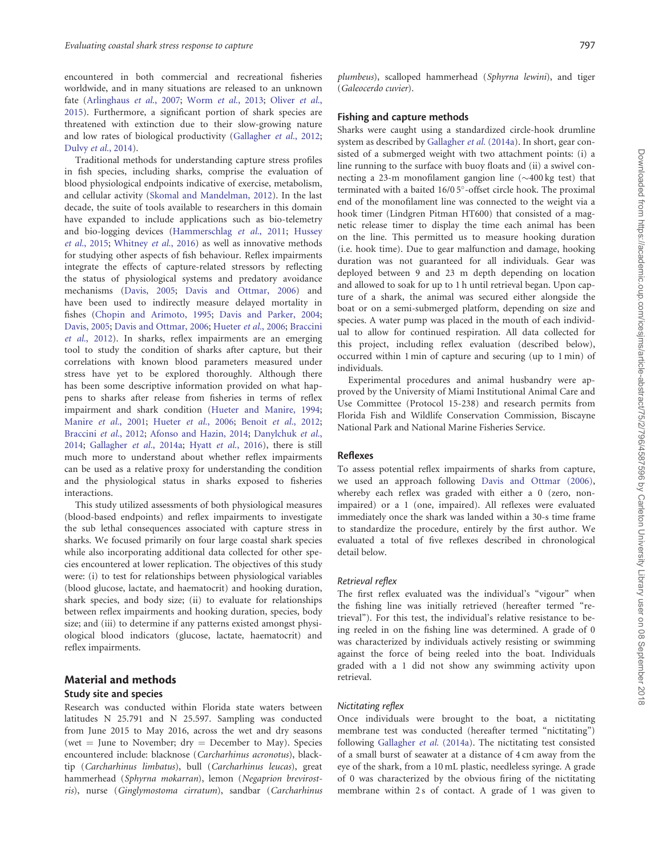encountered in both commercial and recreational fisheries worldwide, and in many situations are released to an unknown fate [\(Arlinghaus](#page-6-0) et al., 2007; [Worm](#page-8-0) et al., 2013; [Oliver](#page-8-0) et al., [2015\)](#page-8-0). Furthermore, a significant portion of shark species are threatened with extinction due to their slow-growing nature and low rates of biological productivity ([Gallagher](#page-7-0) et al., 2012; [Dulvy](#page-7-0) et al., 2014).

Traditional methods for understanding capture stress profiles in fish species, including sharks, comprise the evaluation of blood physiological endpoints indicative of exercise, metabolism, and cellular activity [\(Skomal and Mandelman, 2012\)](#page-8-0). In the last decade, the suite of tools available to researchers in this domain have expanded to include applications such as bio-telemetry and bio-logging devices ([Hammerschlag](#page-7-0) et al., 2011; [Hussey](#page-7-0) et al.[, 2015](#page-7-0); [Whitney](#page-8-0) et al., 2016) as well as innovative methods for studying other aspects of fish behaviour. Reflex impairments integrate the effects of capture-related stressors by reflecting the status of physiological systems and predatory avoidance mechanisms ([Davis, 2005;](#page-7-0) [Davis and Ottmar, 2006](#page-7-0)) and have been used to indirectly measure delayed mortality in fishes [\(Chopin and Arimoto, 1995](#page-7-0); [Davis and Parker, 2004;](#page-7-0) [Davis, 2005](#page-7-0); [Davis and Ottmar, 2006;](#page-7-0) [Hueter](#page-7-0) et al., 2006; [Braccini](#page-7-0) et al.[, 2012\)](#page-7-0). In sharks, reflex impairments are an emerging tool to study the condition of sharks after capture, but their correlations with known blood parameters measured under stress have yet to be explored thoroughly. Although there has been some descriptive information provided on what happens to sharks after release from fisheries in terms of reflex impairment and shark condition [\(Hueter and Manire, 1994;](#page-7-0) [Manire](#page-7-0) et al., 2001; [Hueter](#page-7-0) et al., 2006; Benoit et al.[, 2012;](#page-6-0) [Braccini](#page-7-0) et al., 2012; [Afonso and Hazin, 2014](#page-6-0); [Danylchuk](#page-7-0) et al., [2014;](#page-7-0) [Gallagher](#page-7-0) et al., 2014a; Hyatt et al.[, 2016\)](#page-7-0), there is still much more to understand about whether reflex impairments can be used as a relative proxy for understanding the condition and the physiological status in sharks exposed to fisheries interactions.

This study utilized assessments of both physiological measures (blood-based endpoints) and reflex impairments to investigate the sub lethal consequences associated with capture stress in sharks. We focused primarily on four large coastal shark species while also incorporating additional data collected for other species encountered at lower replication. The objectives of this study were: (i) to test for relationships between physiological variables (blood glucose, lactate, and haematocrit) and hooking duration, shark species, and body size; (ii) to evaluate for relationships between reflex impairments and hooking duration, species, body size; and (iii) to determine if any patterns existed amongst physiological blood indicators (glucose, lactate, haematocrit) and reflex impairments.

# Material and methods Study site and species

Research was conducted within Florida state waters between latitudes N 25.791 and N 25.597. Sampling was conducted from June 2015 to May 2016, across the wet and dry seasons (wet  $=$  June to November; dry  $=$  December to May). Species encountered include: blacknose (Carcharhinus acronotus), blacktip (Carcharhinus limbatus), bull (Carcharhinus leucas), great hammerhead (Sphyrna mokarran), lemon (Negaprion brevirostris), nurse (Ginglymostoma cirratum), sandbar (Carcharhinus

#### Fishing and capture methods

Sharks were caught using a standardized circle-hook drumline system as described by [Gallagher](#page-7-0) et al. (2014a). In short, gear consisted of a submerged weight with two attachment points: (i) a line running to the surface with buoy floats and (ii) a swivel connecting a 23-m monofilament gangion line  $(\sim 400 \text{ kg test})$  that terminated with a baited 16/05°-offset circle hook. The proximal end of the monofilament line was connected to the weight via a hook timer (Lindgren Pitman HT600) that consisted of a magnetic release timer to display the time each animal has been on the line. This permitted us to measure hooking duration (i.e. hook time). Due to gear malfunction and damage, hooking duration was not guaranteed for all individuals. Gear was deployed between 9 and 23 m depth depending on location and allowed to soak for up to 1 h until retrieval began. Upon capture of a shark, the animal was secured either alongside the boat or on a semi-submerged platform, depending on size and species. A water pump was placed in the mouth of each individual to allow for continued respiration. All data collected for this project, including reflex evaluation (described below), occurred within 1 min of capture and securing (up to 1 min) of individuals.

Experimental procedures and animal husbandry were approved by the University of Miami Institutional Animal Care and Use Committee (Protocol 15-238) and research permits from Florida Fish and Wildlife Conservation Commission, Biscayne National Park and National Marine Fisheries Service.

## Reflexes

To assess potential reflex impairments of sharks from capture, we used an approach following [Davis and Ottmar \(2006\),](#page-7-0) whereby each reflex was graded with either a 0 (zero, nonimpaired) or a 1 (one, impaired). All reflexes were evaluated immediately once the shark was landed within a 30-s time frame to standardize the procedure, entirely by the first author. We evaluated a total of five reflexes described in chronological detail below.

#### Retrieval reflex

The first reflex evaluated was the individual's "vigour" when the fishing line was initially retrieved (hereafter termed "retrieval"). For this test, the individual's relative resistance to being reeled in on the fishing line was determined. A grade of 0 was characterized by individuals actively resisting or swimming against the force of being reeled into the boat. Individuals graded with a 1 did not show any swimming activity upon retrieval.

#### Nictitating reflex

Once individuals were brought to the boat, a nictitating membrane test was conducted (hereafter termed "nictitating") following [Gallagher](#page-7-0) et al. (2014a). The nictitating test consisted of a small burst of seawater at a distance of 4 cm away from the eye of the shark, from a 10 mL plastic, needleless syringe. A grade of 0 was characterized by the obvious firing of the nictitating membrane within 2s of contact. A grade of 1 was given to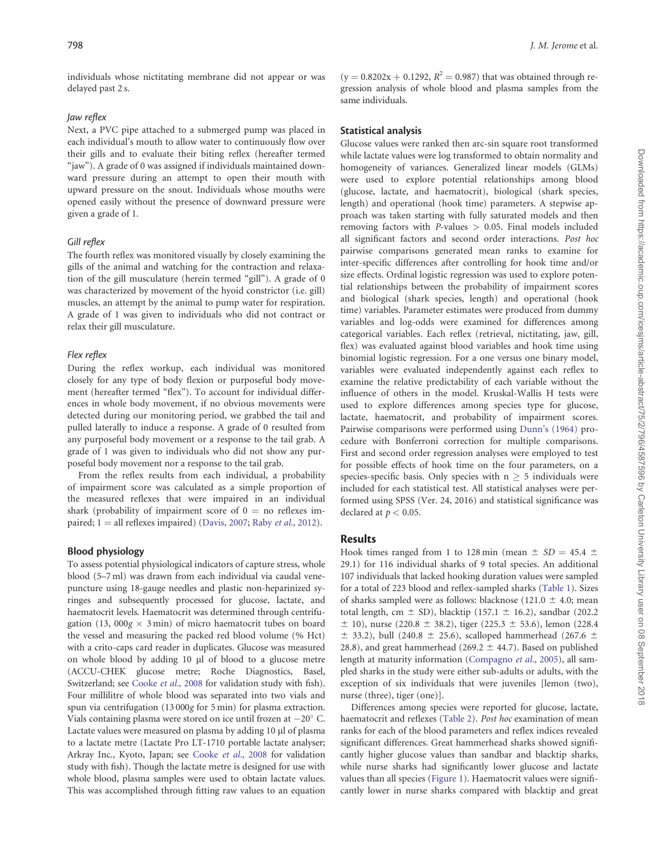individuals whose nictitating membrane did not appear or was delayed past 2 s.

# Jaw reflex

Next, a PVC pipe attached to a submerged pump was placed in each individual's mouth to allow water to continuously flow over their gills and to evaluate their biting reflex (hereafter termed "jaw"). A grade of 0 was assigned if individuals maintained downward pressure during an attempt to open their mouth with upward pressure on the snout. Individuals whose mouths were opened easily without the presence of downward pressure were given a grade of 1.

# Gill reflex

The fourth reflex was monitored visually by closely examining the gills of the animal and watching for the contraction and relaxation of the gill musculature (herein termed "gill"). A grade of 0 was characterized by movement of the hyoid constrictor (i.e. gill) muscles, an attempt by the animal to pump water for respiration. A grade of 1 was given to individuals who did not contract or relax their gill musculature.

# Flex reflex

During the reflex workup, each individual was monitored closely for any type of body flexion or purposeful body movement (hereafter termed "flex"). To account for individual differences in whole body movement, if no obvious movements were detected during our monitoring period, we grabbed the tail and pulled laterally to induce a response. A grade of 0 resulted from any purposeful body movement or a response to the tail grab. A grade of 1 was given to individuals who did not show any purposeful body movement nor a response to the tail grab.

From the reflex results from each individual, a probability of impairment score was calculated as a simple proportion of the measured reflexes that were impaired in an individual shark (probability of impairment score of  $0 =$  no reflexes impaired;  $1 =$  all reflexes impaired) ([Davis, 2007;](#page-7-0) Raby *et al.*[, 2012](#page-8-0)).

#### Blood physiology

To assess potential physiological indicators of capture stress, whole blood (5–7 ml) was drawn from each individual via caudal venepuncture using 18-gauge needles and plastic non-heparinized syringes and subsequently processed for glucose, lactate, and haematocrit levels. Haematocrit was determined through centrifugation (13,  $0.00g \times 3$  min) of micro haematocrit tubes on board the vessel and measuring the packed red blood volume (% Hct) with a crito-caps card reader in duplicates. Glucose was measured on whole blood by adding 10 µl of blood to a glucose metre (ACCU-CHEK glucose metre; Roche Diagnostics, Basel, Switzerland; see [Cooke](#page-7-0) et al., 2008 for validation study with fish). Four millilitre of whole blood was separated into two vials and spun via centrifugation (13 000g for 5 min) for plasma extraction. Vials containing plasma were stored on ice until frozen at  $-20^{\circ}$  C. Lactate values were measured on plasma by adding 10 µl of plasma to a lactate metre (Lactate Pro LT-1710 portable lactate analyser; Arkray Inc., Kyoto, Japan; see [Cooke](#page-7-0) et al., 2008 for validation study with fish). Though the lactate metre is designed for use with whole blood, plasma samples were used to obtain lactate values. This was accomplished through fitting raw values to an equation

Downloaded from https://academic.oup.com/icesjms/article-abstract/75/2/796/4587596 by Carleton University Library user on 08 September 2018 Downloaded from https://academic.oup.com/icesjms/article-abstract/75/2/796/4587596 by Carleton University Library user on 08 September 2018

 $(y = 0.8202x + 0.1292, R^2 = 0.987)$  that was obtained through regression analysis of whole blood and plasma samples from the same individuals.

#### Statistical analysis

Glucose values were ranked then arc-sin square root transformed while lactate values were log transformed to obtain normality and homogeneity of variances. Generalized linear models (GLMs) were used to explore potential relationships among blood (glucose, lactate, and haematocrit), biological (shark species, length) and operational (hook time) parameters. A stepwise approach was taken starting with fully saturated models and then removing factors with  $P$ -values  $> 0.05$ . Final models included all significant factors and second order interactions. Post hoc pairwise comparisons generated mean ranks to examine for inter-specific differences after controlling for hook time and/or size effects. Ordinal logistic regression was used to explore potential relationships between the probability of impairment scores and biological (shark species, length) and operational (hook time) variables. Parameter estimates were produced from dummy variables and log-odds were examined for differences among categorical variables. Each reflex (retrieval, nictitating, jaw, gill, flex) was evaluated against blood variables and hook time using binomial logistic regression. For a one versus one binary model, variables were evaluated independently against each reflex to examine the relative predictability of each variable without the influence of others in the model. Kruskal-Wallis H tests were used to explore differences among species type for glucose, lactate, haematocrit, and probability of impairment scores. Pairwise comparisons were performed using [Dunn's \(1964\)](#page-7-0) procedure with Bonferroni correction for multiple comparisons. First and second order regression analyses were employed to test for possible effects of hook time on the four parameters, on a species-specific basis. Only species with  $n \geq 5$  individuals were included for each statistical test. All statistical analyses were performed using SPSS (Ver. 24, 2016) and statistical significance was declared at  $p < 0.05$ .

## Results

Hook times ranged from 1 to 128 min (mean  $\pm$  SD = 45.4  $\pm$ 29.1) for 116 individual sharks of 9 total species. An additional 107 individuals that lacked hooking duration values were sampled for a total of 223 blood and reflex-sampled sharks ([Table 1\)](#page-3-0). Sizes of sharks sampled were as follows: blacknose (121.0  $\pm$  4.0; mean total length, cm  $\pm$  SD), blacktip (157.1  $\pm$  16.2), sandbar (202.2  $\pm$  10), nurse (220.8  $\pm$  38.2), tiger (225.3  $\pm$  53.6), lemon (228.4  $\pm$  33.2), bull (240.8  $\pm$  25.6), scalloped hammerhead (267.6  $\pm$ 28.8), and great hammerhead (269.2  $\pm$  44.7). Based on published length at maturity information [\(Compagno](#page-7-0) et al., 2005), all sampled sharks in the study were either sub-adults or adults, with the exception of six individuals that were juveniles [lemon (two), nurse (three), tiger (one)].

Differences among species were reported for glucose, lactate, haematocrit and reflexes [\(Table 2\)](#page-3-0). Post hoc examination of mean ranks for each of the blood parameters and reflex indices revealed significant differences. Great hammerhead sharks showed significantly higher glucose values than sandbar and blacktip sharks, while nurse sharks had significantly lower glucose and lactate values than all species ([Figure 1](#page-4-0)). Haematocrit values were significantly lower in nurse sharks compared with blacktip and great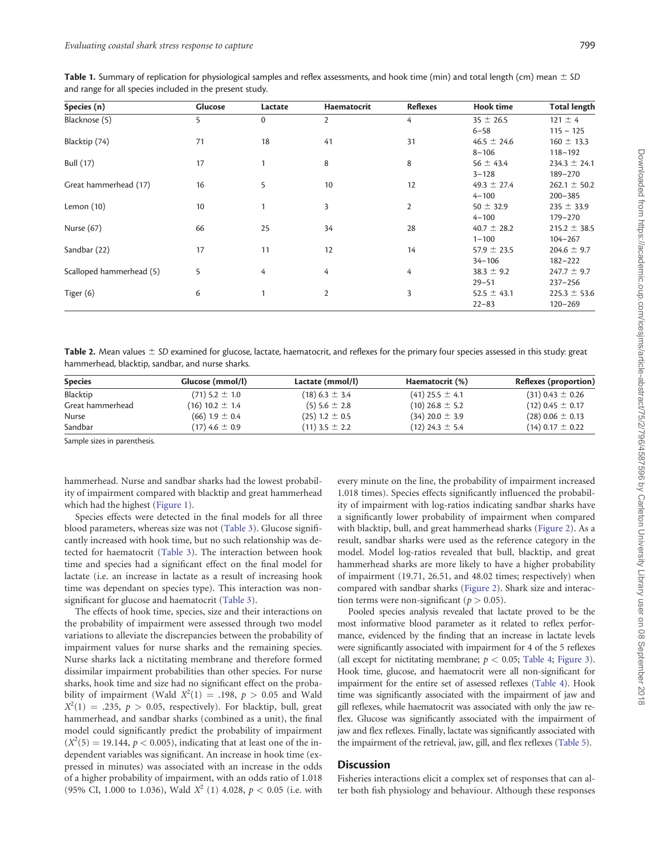| Species (n)              | Glucose | Lactate     | Haematocrit    | <b>Reflexes</b> | <b>Hook time</b> | <b>Total length</b> |
|--------------------------|---------|-------------|----------------|-----------------|------------------|---------------------|
| Blacknose (5)            | 5       | $\mathbf 0$ | $\overline{2}$ | 4               | $35 \pm 26.5$    | $121 \pm 4$         |
|                          |         |             |                |                 | $6 - 58$         | $115 - 125$         |
| Blacktip (74)            | 71      | 18          | 41             | 31              | $46.5 \pm 24.6$  | $160 \pm 13.3$      |
|                          |         |             |                |                 | $8 - 106$        | $118 - 192$         |
| <b>Bull (17)</b>         | 17      |             | 8              | 8               | $56 \pm 43.4$    | $234.3 \pm 24.1$    |
|                          |         |             |                |                 | $3 - 128$        | 189-270             |
| Great hammerhead (17)    | 16      | 5           | 10             | 12              | $49.3 \pm 27.4$  | $262.1 \pm 50.2$    |
|                          |         |             |                |                 | $4 - 100$        | $200 - 385$         |
| Lemon $(10)$             | 10      |             | 3              | $\mathbf{2}$    | $50 \pm 32.9$    | $235 \pm 33.9$      |
|                          |         |             |                |                 | $4 - 100$        | $179 - 270$         |
| Nurse (67)               | 66      | 25          | 34             | 28              | $40.7 \pm 28.2$  | $215.2 \pm 38.5$    |
|                          |         |             |                |                 | $1 - 100$        | $104 - 267$         |
| Sandbar (22)             | 17      | 11          | 12             | 14              | $57.9 \pm 23.5$  | $204.6 \pm 9.7$     |
|                          |         |             |                |                 | $34 - 106$       | $182 - 222$         |
| Scalloped hammerhead (5) | 5       | 4           | 4              | 4               | $38.3 \pm 9.2$   | $247.7 \pm 9.7$     |
|                          |         |             |                |                 | $29 - 51$        | $237 - 256$         |
| Tiger $(6)$              | 6       |             | $\overline{2}$ | 3               | 52.5 $\pm$ 43.1  | $225.3 \pm 53.6$    |
|                          |         |             |                |                 | $22 - 83$        | $120 - 269$         |

<span id="page-3-0"></span>Table 1. Summary of replication for physiological samples and reflex assessments, and hook time (min) and total length (cm) mean  $\pm$  SD and range for all species included in the present study.

Table 2. Mean values  $\pm$  SD examined for glucose, lactate, haematocrit, and reflexes for the primary four species assessed in this study: great hammerhead, blacktip, sandbar, and nurse sharks.

| Glucose (mmol/l)      | Lactate (mmol/l)     | Haematocrit (%)       | Reflexes (proportion)  |
|-----------------------|----------------------|-----------------------|------------------------|
| $(71)$ 5.2 $\pm$ 1.0  | $(18)$ 6.3 $\pm$ 3.4 | $(41)$ 25.5 $\pm$ 4.1 | $(31)$ 0.43 $\pm$ 0.26 |
| $(16)$ 10.2 $\pm$ 1.4 | $(5)$ 5.6 $\pm$ 2.8  | $(10)$ 26.8 $\pm$ 5.2 | $(12)$ 0.45 $\pm$ 0.17 |
| $(66)$ 1.9 $\pm$ 0.4  | $(25)$ 1.2 $\pm$ 0.5 | $(34)$ 20.0 $\pm$ 3.9 | $(28)$ 0.06 $\pm$ 0.13 |
| $(17)$ 4.6 $\pm$ 0.9  | $(11)$ 3.5 $\pm$ 2.2 | $(12)$ 24.3 $\pm$ 5.4 | $(14)$ 0.17 $\pm$ 0.22 |
|                       |                      |                       |                        |

Sample sizes in parenthesis.

hammerhead. Nurse and sandbar sharks had the lowest probability of impairment compared with blacktip and great hammerhead which had the highest [\(Figure 1\)](#page-4-0).

Species effects were detected in the final models for all three blood parameters, whereas size was not [\(Table 3\)](#page-4-0). Glucose significantly increased with hook time, but no such relationship was detected for haematocrit [\(Table 3\)](#page-4-0). The interaction between hook time and species had a significant effect on the final model for lactate (i.e. an increase in lactate as a result of increasing hook time was dependant on species type). This interaction was nonsignificant for glucose and haematocrit ([Table 3](#page-4-0)).

The effects of hook time, species, size and their interactions on the probability of impairment were assessed through two model variations to alleviate the discrepancies between the probability of impairment values for nurse sharks and the remaining species. Nurse sharks lack a nictitating membrane and therefore formed dissimilar impairment probabilities than other species. For nurse sharks, hook time and size had no significant effect on the probability of impairment (Wald  $X^2(1) = .198$ ,  $p > 0.05$  and Wald  $X^2(1) = .235, p > 0.05$ , respectively). For blacktip, bull, great hammerhead, and sandbar sharks (combined as a unit), the final model could significantly predict the probability of impairment  $(X^2(5) = 19.144, p < 0.005)$ , indicating that at least one of the independent variables was significant. An increase in hook time (expressed in minutes) was associated with an increase in the odds of a higher probability of impairment, with an odds ratio of 1.018 (95% CI, 1.000 to 1.036), Wald  $X^2$  (1) 4.028,  $p < 0.05$  (i.e. with

every minute on the line, the probability of impairment increased 1.018 times). Species effects significantly influenced the probability of impairment with log-ratios indicating sandbar sharks have a significantly lower probability of impairment when compared with blacktip, bull, and great hammerhead sharks [\(Figure 2\)](#page-5-0). As a result, sandbar sharks were used as the reference category in the model. Model log-ratios revealed that bull, blacktip, and great hammerhead sharks are more likely to have a higher probability of impairment (19.71, 26.51, and 48.02 times; respectively) when compared with sandbar sharks [\(Figure 2\)](#page-5-0). Shark size and interaction terms were non-significant ( $p > 0.05$ ).

Pooled species analysis revealed that lactate proved to be the most informative blood parameter as it related to reflex performance, evidenced by the finding that an increase in lactate levels were significantly associated with impairment for 4 of the 5 reflexes (all except for nictitating membrane;  $p < 0.05$ ; [Table 4](#page-5-0); [Figure 3\)](#page-5-0). Hook time, glucose, and haematocrit were all non-significant for impairment for the entire set of assessed reflexes [\(Table 4](#page-5-0)). Hook time was significantly associated with the impairment of jaw and gill reflexes, while haematocrit was associated with only the jaw reflex. Glucose was significantly associated with the impairment of jaw and flex reflexes. Finally, lactate was significantly associated with the impairment of the retrieval, jaw, gill, and flex reflexes ([Table 5](#page-5-0)).

# **Discussion**

Fisheries interactions elicit a complex set of responses that can alter both fish physiology and behaviour. Although these responses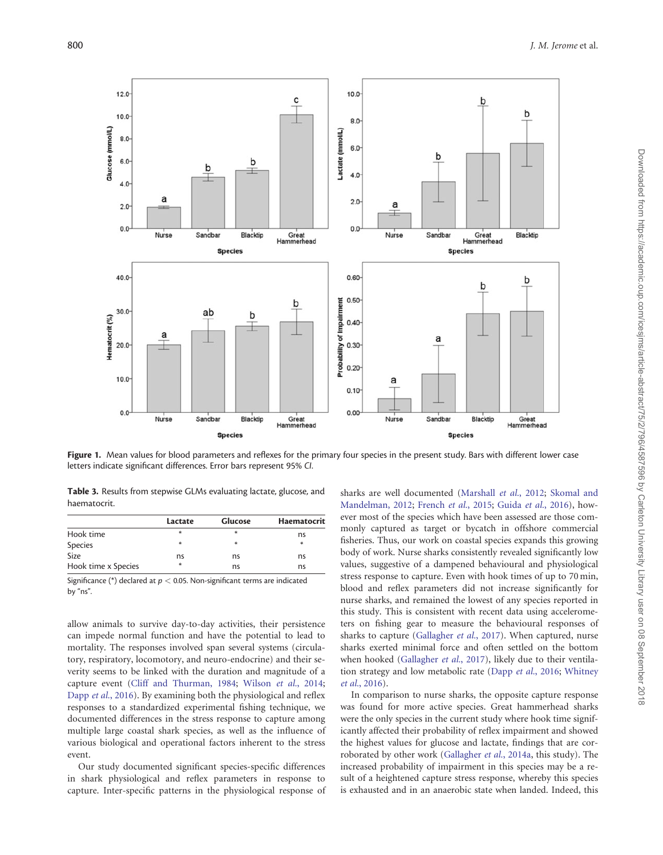<span id="page-4-0"></span>

Figure 1. Mean values for blood parameters and reflexes for the primary four species in the present study. Bars with different lower case letters indicate significant differences. Error bars represent 95% CI.

Table 3. Results from stepwise GLMs evaluating lactate, glucose, and haematocrit.

|                     | Lactate | Glucose | Haematocrit |
|---------------------|---------|---------|-------------|
| Hook time           | $\ast$  | *       | ns          |
| <b>Species</b>      | $\ast$  | ×       | $*$         |
| Size                | ns      | ns      | ns          |
| Hook time x Species | ∗       | ns      | ns          |

Significance (\*) declared at  $p < 0.05$ . Non-significant terms are indicated by "ns".

allow animals to survive day-to-day activities, their persistence can impede normal function and have the potential to lead to mortality. The responses involved span several systems (circulatory, respiratory, locomotory, and neuro-endocrine) and their severity seems to be linked with the duration and magnitude of a capture event [\(Cliff and Thurman, 1984;](#page-7-0) [Wilson](#page-8-0) et al., 2014; Dapp et al.[, 2016](#page-7-0)). By examining both the physiological and reflex responses to a standardized experimental fishing technique, we documented differences in the stress response to capture among multiple large coastal shark species, as well as the influence of various biological and operational factors inherent to the stress event.

Our study documented significant species-specific differences in shark physiological and reflex parameters in response to capture. Inter-specific patterns in the physiological response of sharks are well documented ([Marshall](#page-7-0) et al., 2012; [Skomal and](#page-8-0) [Mandelman, 2012;](#page-8-0) [French](#page-7-0) et al., 2015; Guida et al.[, 2016](#page-7-0)), however most of the species which have been assessed are those commonly captured as target or bycatch in offshore commercial fisheries. Thus, our work on coastal species expands this growing body of work. Nurse sharks consistently revealed significantly low values, suggestive of a dampened behavioural and physiological stress response to capture. Even with hook times of up to 70 min, blood and reflex parameters did not increase significantly for nurse sharks, and remained the lowest of any species reported in this study. This is consistent with recent data using accelerometers on fishing gear to measure the behavioural responses of sharks to capture [\(Gallagher](#page-7-0) et al., 2017). When captured, nurse sharks exerted minimal force and often settled on the bottom when hooked [\(Gallagher](#page-7-0) et al., 2017), likely due to their ventilation strategy and low metabolic rate (Dapp et al.[, 2016;](#page-7-0) [Whitney](#page-8-0) et al.[, 2016](#page-8-0)).

In comparison to nurse sharks, the opposite capture response was found for more active species. Great hammerhead sharks were the only species in the current study where hook time significantly affected their probability of reflex impairment and showed the highest values for glucose and lactate, findings that are corroborated by other work [\(Gallagher](#page-7-0) et al., 2014a, this study). The increased probability of impairment in this species may be a result of a heightened capture stress response, whereby this species is exhausted and in an anaerobic state when landed. Indeed, this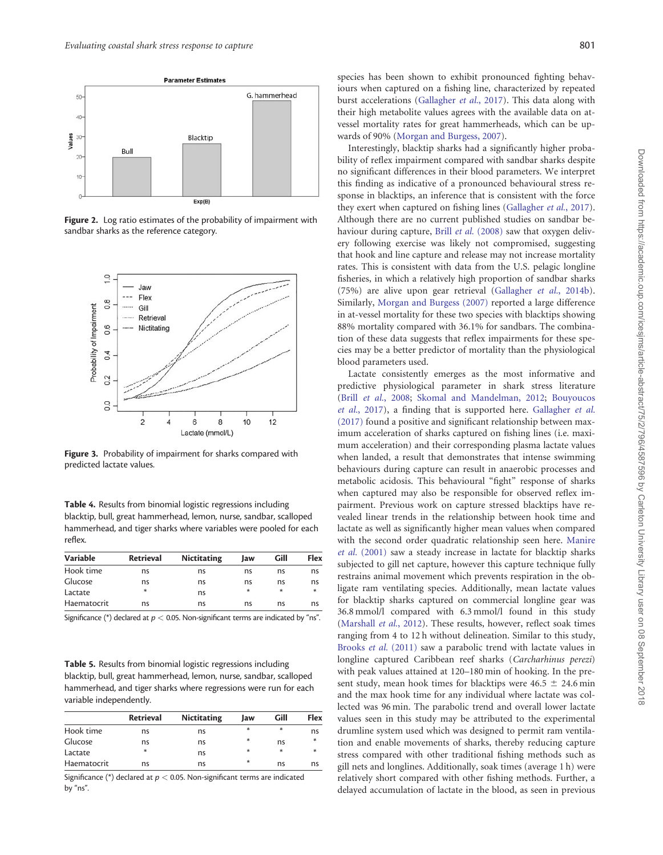<span id="page-5-0"></span>

Figure 2. Log ratio estimates of the probability of impairment with sandbar sharks as the reference category.



Figure 3. Probability of impairment for sharks compared with predicted lactate values.

Table 4. Results from binomial logistic regressions including blacktip, bull, great hammerhead, lemon, nurse, sandbar, scalloped hammerhead, and tiger sharks where variables were pooled for each reflex.

| Variable    | Retrieval | <b>Nictitating</b> | law    | Gill   | Flex   |
|-------------|-----------|--------------------|--------|--------|--------|
| Hook time   | ns        | ns                 | ns     | ns     | ns     |
| Glucose     | ns        | ns                 | ns     | ns     | ns     |
| Lactate     | ∗         | ns                 | $\ast$ | $\ast$ | $\ast$ |
| Haematocrit | ns        | ns                 | ns     | ns     | ns     |

Significance (\*) declared at  $p < 0.05$ . Non-significant terms are indicated by "ns".

Table 5. Results from binomial logistic regressions including blacktip, bull, great hammerhead, lemon, nurse, sandbar, scalloped hammerhead, and tiger sharks where regressions were run for each variable independently.

|             | <b>Retrieval</b> | <b>Nictitating</b> | law    | Gill   | <b>Flex</b> |
|-------------|------------------|--------------------|--------|--------|-------------|
| Hook time   | ns               | ns                 | $\ast$ | $\ast$ | ns          |
| Glucose     | ns               | ns                 | *      | ns     | ∗           |
| Lactate     | *                | ns                 | $\ast$ | ∗      | ∗           |
| Haematocrit | ns               | ns                 | $*$    | ns     | ns          |

Significance (\*) declared at  $p < 0.05$ . Non-significant terms are indicated by "ns".

species has been shown to exhibit pronounced fighting behaviours when captured on a fishing line, characterized by repeated burst accelerations [\(Gallagher](#page-7-0) et al., 2017). This data along with their high metabolite values agrees with the available data on atvessel mortality rates for great hammerheads, which can be upwards of 90% ([Morgan and Burgess, 2007\)](#page-8-0).

Interestingly, blacktip sharks had a significantly higher probability of reflex impairment compared with sandbar sharks despite no significant differences in their blood parameters. We interpret this finding as indicative of a pronounced behavioural stress response in blacktips, an inference that is consistent with the force they exert when captured on fishing lines ([Gallagher](#page-7-0) et al., 2017). Although there are no current published studies on sandbar be-haviour during capture, Brill et al. [\(2008\)](#page-7-0) saw that oxygen delivery following exercise was likely not compromised, suggesting that hook and line capture and release may not increase mortality rates. This is consistent with data from the U.S. pelagic longline fisheries, in which a relatively high proportion of sandbar sharks (75%) are alive upon gear retrieval [\(Gallagher](#page-7-0) et al., 2014b). Similarly, [Morgan and Burgess \(2007\)](#page-8-0) reported a large difference in at-vessel mortality for these two species with blacktips showing 88% mortality compared with 36.1% for sandbars. The combination of these data suggests that reflex impairments for these species may be a better predictor of mortality than the physiological blood parameters used.

Lactate consistently emerges as the most informative and predictive physiological parameter in shark stress literature (Brill et al.[, 2008;](#page-7-0) [Skomal and Mandelman, 2012](#page-8-0); [Bouyoucos](#page-6-0) et al.[, 2017](#page-6-0)), a finding that is supported here. [Gallagher](#page-7-0) et al. [\(2017\)](#page-7-0) found a positive and significant relationship between maximum acceleration of sharks captured on fishing lines (i.e. maximum acceleration) and their corresponding plasma lactate values when landed, a result that demonstrates that intense swimming behaviours during capture can result in anaerobic processes and metabolic acidosis. This behavioural "fight" response of sharks when captured may also be responsible for observed reflex impairment. Previous work on capture stressed blacktips have revealed linear trends in the relationship between hook time and lactate as well as significantly higher mean values when compared with the second order quadratic relationship seen here. [Manire](#page-7-0) et al. [\(2001\)](#page-7-0) saw a steady increase in lactate for blacktip sharks subjected to gill net capture, however this capture technique fully restrains animal movement which prevents respiration in the obligate ram ventilating species. Additionally, mean lactate values for blacktip sharks captured on commercial longline gear was 36.8 mmol/l compared with 6.3 mmol/l found in this study [\(Marshall](#page-7-0) et al., 2012). These results, however, reflect soak times ranging from 4 to 12 h without delineation. Similar to this study, [Brooks](#page-7-0) et al. (2011) saw a parabolic trend with lactate values in longline captured Caribbean reef sharks (Carcharhinus perezi) with peak values attained at 120–180 min of hooking. In the present study, mean hook times for blacktips were  $46.5 \pm 24.6$  min and the max hook time for any individual where lactate was collected was 96 min. The parabolic trend and overall lower lactate values seen in this study may be attributed to the experimental drumline system used which was designed to permit ram ventilation and enable movements of sharks, thereby reducing capture stress compared with other traditional fishing methods such as gill nets and longlines. Additionally, soak times (average 1 h) were relatively short compared with other fishing methods. Further, a delayed accumulation of lactate in the blood, as seen in previous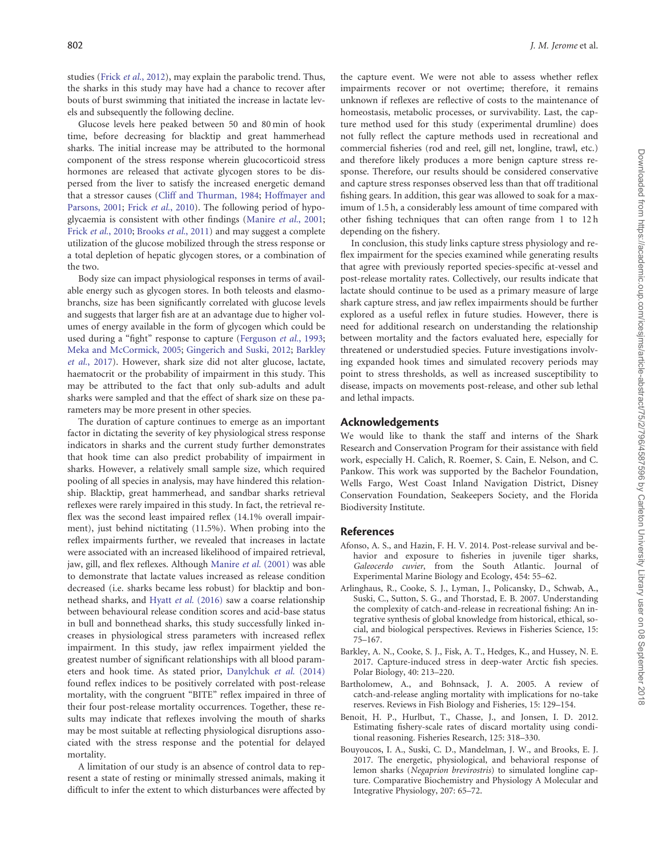<span id="page-6-0"></span>studies (Frick et al.[, 2012\)](#page-7-0), may explain the parabolic trend. Thus, the sharks in this study may have had a chance to recover after bouts of burst swimming that initiated the increase in lactate levels and subsequently the following decline.

Glucose levels here peaked between 50 and 80 min of hook time, before decreasing for blacktip and great hammerhead sharks. The initial increase may be attributed to the hormonal component of the stress response wherein glucocorticoid stress hormones are released that activate glycogen stores to be dispersed from the liver to satisfy the increased energetic demand that a stressor causes [\(Cliff and Thurman, 1984](#page-7-0); [Hoffmayer and](#page-7-0) [Parsons, 2001;](#page-7-0) Frick et al.[, 2010\)](#page-7-0). The following period of hypoglycaemia is consistent with other findings ([Manire](#page-7-0) et al., 2001; Frick et al.[, 2010](#page-7-0); [Brooks](#page-7-0) et al., 2011) and may suggest a complete utilization of the glucose mobilized through the stress response or a total depletion of hepatic glycogen stores, or a combination of the two.

Body size can impact physiological responses in terms of available energy such as glycogen stores. In both teleosts and elasmobranchs, size has been significantly correlated with glucose levels and suggests that larger fish are at an advantage due to higher volumes of energy available in the form of glycogen which could be used during a "fight" response to capture ([Ferguson](#page-7-0) et al., 1993; [Meka and McCormick, 2005](#page-8-0); [Gingerich and Suski, 2012;](#page-7-0) Barkley et al., 2017). However, shark size did not alter glucose, lactate, haematocrit or the probability of impairment in this study. This may be attributed to the fact that only sub-adults and adult sharks were sampled and that the effect of shark size on these parameters may be more present in other species.

The duration of capture continues to emerge as an important factor in dictating the severity of key physiological stress response indicators in sharks and the current study further demonstrates that hook time can also predict probability of impairment in sharks. However, a relatively small sample size, which required pooling of all species in analysis, may have hindered this relationship. Blacktip, great hammerhead, and sandbar sharks retrieval reflexes were rarely impaired in this study. In fact, the retrieval reflex was the second least impaired reflex (14.1% overall impairment), just behind nictitating (11.5%). When probing into the reflex impairments further, we revealed that increases in lactate were associated with an increased likelihood of impaired retrieval, jaw, gill, and flex reflexes. Although [Manire](#page-7-0) et al. (2001) was able to demonstrate that lactate values increased as release condition decreased (i.e. sharks became less robust) for blacktip and bonnethead sharks, and Hyatt et al. [\(2016\)](#page-7-0) saw a coarse relationship between behavioural release condition scores and acid-base status in bull and bonnethead sharks, this study successfully linked increases in physiological stress parameters with increased reflex impairment. In this study, jaw reflex impairment yielded the greatest number of significant relationships with all blood parameters and hook time. As stated prior, [Danylchuk](#page-7-0) et al. (2014) found reflex indices to be positively correlated with post-release mortality, with the congruent "BITE" reflex impaired in three of their four post-release mortality occurrences. Together, these results may indicate that reflexes involving the mouth of sharks may be most suitable at reflecting physiological disruptions associated with the stress response and the potential for delayed mortality.

A limitation of our study is an absence of control data to represent a state of resting or minimally stressed animals, making it difficult to infer the extent to which disturbances were affected by the capture event. We were not able to assess whether reflex impairments recover or not overtime; therefore, it remains unknown if reflexes are reflective of costs to the maintenance of homeostasis, metabolic processes, or survivability. Last, the capture method used for this study (experimental drumline) does not fully reflect the capture methods used in recreational and commercial fisheries (rod and reel, gill net, longline, trawl, etc.) and therefore likely produces a more benign capture stress response. Therefore, our results should be considered conservative and capture stress responses observed less than that off traditional fishing gears. In addition, this gear was allowed to soak for a maximum of 1.5 h, a considerably less amount of time compared with other fishing techniques that can often range from 1 to 12 h depending on the fishery.

In conclusion, this study links capture stress physiology and reflex impairment for the species examined while generating results that agree with previously reported species-specific at-vessel and post-release mortality rates. Collectively, our results indicate that lactate should continue to be used as a primary measure of large shark capture stress, and jaw reflex impairments should be further explored as a useful reflex in future studies. However, there is need for additional research on understanding the relationship between mortality and the factors evaluated here, especially for threatened or understudied species. Future investigations involving expanded hook times and simulated recovery periods may point to stress thresholds, as well as increased susceptibility to disease, impacts on movements post-release, and other sub lethal and lethal impacts.

#### Acknowledgements

We would like to thank the staff and interns of the Shark Research and Conservation Program for their assistance with field work, especially H. Calich, R. Roemer, S. Cain, E. Nelson, and C. Pankow. This work was supported by the Bachelor Foundation, Wells Fargo, West Coast Inland Navigation District, Disney Conservation Foundation, Seakeepers Society, and the Florida Biodiversity Institute.

#### References

- Afonso, A. S., and Hazin, F. H. V. 2014. Post-release survival and behavior and exposure to fisheries in juvenile tiger sharks, Galeocerdo cuvier, from the South Atlantic. Journal of Experimental Marine Biology and Ecology, 454: 55–62.
- Arlinghaus, R., Cooke, S. J., Lyman, J., Policansky, D., Schwab, A., Suski, C., Sutton, S. G., and Thorstad, E. B. 2007. Understanding the complexity of catch-and-release in recreational fishing: An integrative synthesis of global knowledge from historical, ethical, social, and biological perspectives. Reviews in Fisheries Science, 15: 75–167.
- Barkley, A. N., Cooke, S. J., Fisk, A. T., Hedges, K., and Hussey, N. E. 2017. Capture-induced stress in deep-water Arctic fish species. Polar Biology, 40: 213–220.
- Bartholomew, A., and Bohnsack, J. A. 2005. A review of catch-and-release angling mortality with implications for no-take reserves. Reviews in Fish Biology and Fisheries, 15: 129–154.
- Benoit, H. P., Hurlbut, T., Chasse, J., and Jonsen, I. D. 2012. Estimating fishery-scale rates of discard mortality using conditional reasoning. Fisheries Research, 125: 318–330.
- Bouyoucos, I. A., Suski, C. D., Mandelman, J. W., and Brooks, E. J. 2017. The energetic, physiological, and behavioral response of lemon sharks (Negaprion brevirostris) to simulated longline capture. Comparative Biochemistry and Physiology A Molecular and Integrative Physiology, 207: 65–72.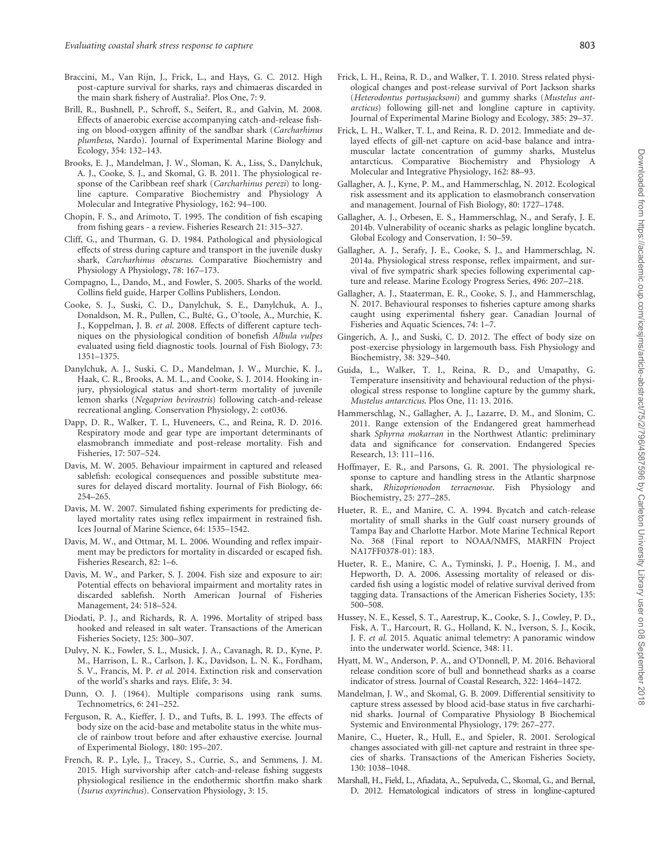- <span id="page-7-0"></span>Braccini, M., Van Rijn, J., Frick, L., and Hays, G. C. 2012. High post-capture survival for sharks, rays and chimaeras discarded in the main shark fishery of Australia?. Plos One, 7: 9.
- Brill, R., Bushnell, P., Schroff, S., Seifert, R., and Galvin, M. 2008. Effects of anaerobic exercise accompanying catch-and-release fishing on blood-oxygen affinity of the sandbar shark (Carcharhinus plumbeus, Nardo). Journal of Experimental Marine Biology and Ecology, 354: 132–143.
- Brooks, E. J., Mandelman, J. W., Sloman, K. A., Liss, S., Danylchuk, A. J., Cooke, S. J., and Skomal, G. B. 2011. The physiological response of the Caribbean reef shark (Carcharhinus perezi) to longline capture. Comparative Biochemistry and Physiology A Molecular and Integrative Physiology, 162: 94–100.
- Chopin, F. S., and Arimoto, T. 1995. The condition of fish escaping from fishing gears - a review. Fisheries Research 21: 315–327.
- Cliff, G., and Thurman, G. D. 1984. Pathological and physiological effects of stress during capture and transport in the juvenile dusky shark, Carcharhinus obscurus. Comparative Biochemistry and Physiology A Physiology, 78: 167–173.
- Compagno, L., Dando, M., and Fowler, S. 2005. Sharks of the world. Collins field guide, Harper Collins Publishers, London.
- Cooke, S. J., Suski, C. D., Danylchuk, S. E., Danylchuk, A. J., Donaldson, M. R., Pullen, C., Bulté, G., O'toole, A., Murchie, K. J., Koppelman, J. B. et al. 2008. Effects of different capture techniques on the physiological condition of bonefish Albula vulpes evaluated using field diagnostic tools. Journal of Fish Biology, 73: 1351–1375.
- Danylchuk, A. J., Suski, C. D., Mandelman, J. W., Murchie, K. J., Haak, C. R., Brooks, A. M. L., and Cooke, S. J. 2014. Hooking injury, physiological status and short-term mortality of juvenile lemon sharks (Negaprion bevirostris) following catch-and-release recreational angling. Conservation Physiology, 2: cot036.
- Dapp, D. R., Walker, T. I., Huveneers, C., and Reina, R. D. 2016. Respiratory mode and gear type are important determinants of elasmobranch immediate and post-release mortality. Fish and Fisheries, 17: 507–524.
- Davis, M. W. 2005. Behaviour impairment in captured and released sablefish: ecological consequences and possible substitute measures for delayed discard mortality. Journal of Fish Biology, 66: 254–265.
- Davis, M. W. 2007. Simulated fishing experiments for predicting delayed mortality rates using reflex impairment in restrained fish. Ices Journal of Marine Science, 64: 1535–1542.
- Davis, M. W., and Ottmar, M. L. 2006. Wounding and reflex impairment may be predictors for mortality in discarded or escaped fish. Fisheries Research, 82: 1–6.
- Davis, M. W., and Parker, S. J. 2004. Fish size and exposure to air: Potential effects on behavioral impairment and mortality rates in discarded sablefish. North American Journal of Fisheries Management, 24: 518–524.
- Diodati, P. J., and Richards, R. A. 1996. Mortality of striped bass hooked and released in salt water. Transactions of the American Fisheries Society, 125: 300–307.
- Dulvy, N. K., Fowler, S. L., Musick, J. A., Cavanagh, R. D., Kyne, P. M., Harrison, L. R., Carlson, J. K., Davidson, L. N. K., Fordham, S. V., Francis, M. P. et al. 2014. Extinction risk and conservation of the world's sharks and rays. Elife, 3: 34.
- Dunn, O. J. (1964). Multiple comparisons using rank sums. Technometrics, 6: 241–252.
- Ferguson, R. A., Kieffer, J. D., and Tufts, B. L. 1993. The effects of body size on the acid-base and metabolite status in the white muscle of rainbow trout before and after exhaustive exercise. Journal of Experimental Biology, 180: 195–207.
- French, R. P., Lyle, J., Tracey, S., Currie, S., and Semmens, J. M. 2015. High survivorship after catch-and-release fishing suggests physiological resilience in the endothermic shortfin mako shark (Isurus oxyrinchus). Conservation Physiology, 3: 15.
- Frick, L. H., Reina, R. D., and Walker, T. I. 2010. Stress related physiological changes and post-release survival of Port Jackson sharks (Heterodontus portusjacksoni) and gummy sharks (Mustelus antarcticus) following gill-net and longline capture in captivity. Journal of Experimental Marine Biology and Ecology, 385: 29–37.
- Frick, L. H., Walker, T. I., and Reina, R. D. 2012. Immediate and delayed effects of gill-net capture on acid-base balance and intramuscular lactate concentration of gummy sharks, Mustelus antarcticus. Comparative Biochemistry and Physiology A Molecular and Integrative Physiology, 162: 88–93.
- Gallagher, A. J., Kyne, P. M., and Hammerschlag, N. 2012. Ecological risk assessment and its application to elasmobranch conservation and management. Journal of Fish Biology, 80: 1727–1748.
- Gallagher, A. J., Orbesen, E. S., Hammerschlag, N., and Serafy, J. E. 2014b. Vulnerability of oceanic sharks as pelagic longline bycatch. Global Ecology and Conservation, 1: 50–59.
- Gallagher, A. J., Serafy, J. E., Cooke, S. J., and Hammerschlag, N. 2014a. Physiological stress response, reflex impairment, and survival of five sympatric shark species following experimental capture and release. Marine Ecology Progress Series, 496: 207–218.
- Gallagher, A. J., Staaterman, E. R., Cooke, S. J., and Hammerschlag, N. 2017. Behavioural responses to fisheries capture among sharks caught using experimental fishery gear. Canadian Journal of Fisheries and Aquatic Sciences, 74: 1–7.
- Gingerich, A. J., and Suski, C. D. 2012. The effect of body size on post-exercise physiology in largemouth bass. Fish Physiology and Biochemistry, 38: 329–340.
- Guida, L., Walker, T. I., Reina, R. D., and Umapathy, G. Temperature insensitivity and behavioural reduction of the physiological stress response to longline capture by the gummy shark, Mustelus antarcticus. Plos One, 11: 13. 2016.
- Hammerschlag, N., Gallagher, A. J., Lazarre, D. M., and Slonim, C. 2011. Range extension of the Endangered great hammerhead shark Sphyrna mokarran in the Northwest Atlantic: preliminary data and significance for conservation. Endangered Species Research, 13: 111–116.
- Hoffmayer, E. R., and Parsons, G. R. 2001. The physiological response to capture and handling stress in the Atlantic sharpnose shark, Rhizoprionodon terraenovae. Fish Physiology and Biochemistry, 25: 277–285.
- Hueter, R. E., and Manire, C. A. 1994. Bycatch and catch-release mortality of small sharks in the Gulf coast nursery grounds of Tampa Bay and Charlotte Harbor. Mote Marine Technical Report No. 368 (Final report to NOAA/NMFS, MARFIN Project NA17FF0378-01): 183.
- Hueter, R. E., Manire, C. A., Tyminski, J. P., Hoenig, J. M., and Hepworth, D. A. 2006. Assessing mortality of released or discarded fish using a logistic model of relative survival derived from tagging data. Transactions of the American Fisheries Society, 135: 500–508.
- Hussey, N. E., Kessel, S. T., Aarestrup, K., Cooke, S. J., Cowley, P. D., Fisk, A. T., Harcourt, R. G., Holland, K. N., Iverson, S. J., Kocik, J. F. et al. 2015. Aquatic animal telemetry: A panoramic window into the underwater world. Science, 348: 11.
- Hyatt, M. W., Anderson, P. A., and O'Donnell, P. M. 2016. Behavioral release condition score of bull and bonnethead sharks as a coarse indicator of stress. Journal of Coastal Research, 322: 1464–1472.
- Mandelman, J. W., and Skomal, G. B. 2009. Differential sensitivity to capture stress assessed by blood acid-base status in five carcharhinid sharks. Journal of Comparative Physiology B Biochemical Systemic and Environmental Physiology, 179: 267–277.
- Manire, C., Hueter, R., Hull, E., and Spieler, R. 2001. Serological changes associated with gill-net capture and restraint in three species of sharks. Transactions of the American Fisheries Society, 130: 1038–1048.
- Marshall, H., Field, L., Afiadata, A., Sepulveda, C., Skomal, G., and Bernal, D. 2012. Hematological indicators of stress in longline-captured